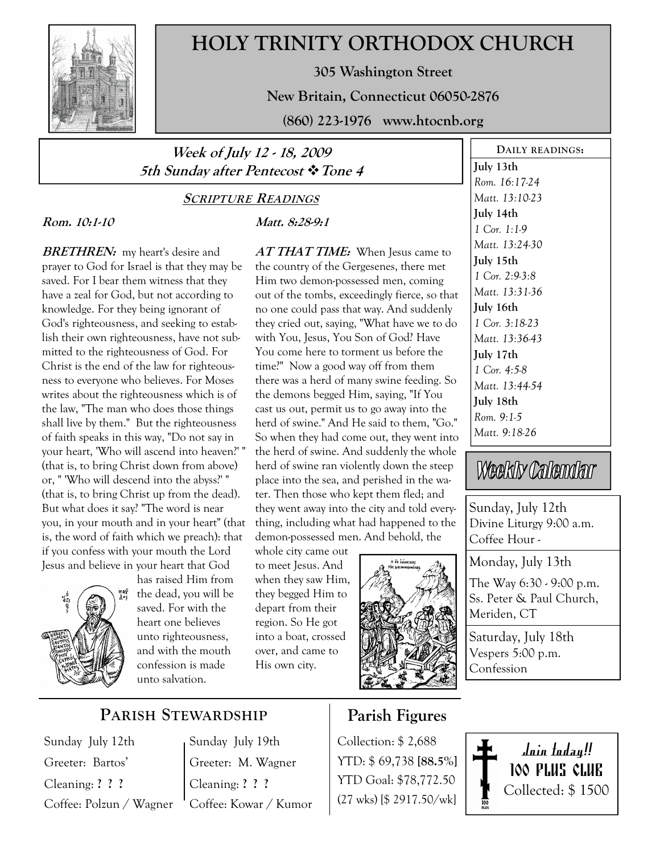

# HOLY TRINITY ORTHODOX CHURCH

305 Washington Street

New Britain, Connecticut 06050-2876

(860) 223-1976 www.htocnb.org

### Week of July 12 - 18, 2009 5th Sunday after Pentecost \* Tone 4

#### SCRIPTURE READINGS

### Rom. 10:1-10

**BRETHREN:** my heart's desire and prayer to God for Israel is that they may be saved. For I bear them witness that they have a zeal for God, but not according to knowledge. For they being ignorant of God's righteousness, and seeking to establish their own righteousness, have not submitted to the righteousness of God. For Christ is the end of the law for righteousness to everyone who believes. For Moses writes about the righteousness which is of the law, "The man who does those things shall live by them." But the righteousness of faith speaks in this way, "Do not say in your heart, 'Who will ascend into heaven?' " (that is, to bring Christ down from above) or, " 'Who will descend into the abyss?' " (that is, to bring Christ up from the dead). But what does it say? "The word is near you, in your mouth and in your heart" (that is, the word of faith which we preach): that if you confess with your mouth the Lord Jesus and believe in your heart that God



has raised Him from  $\frac{1}{45}$  the dead, you will be saved. For with the heart one believes unto righteousness, and with the mouth confession is made unto salvation.

#### Matt. 8:28-9:1

AT THAT TIME: When Jesus came to the country of the Gergesenes, there met Him two demon-possessed men, coming out of the tombs, exceedingly fierce, so that no one could pass that way. And suddenly they cried out, saying, "What have we to do with You, Jesus, You Son of God? Have You come here to torment us before the time?" Now a good way off from them there was a herd of many swine feeding. So the demons begged Him, saying, "If You cast us out, permit us to go away into the herd of swine." And He said to them, "Go." So when they had come out, they went into the herd of swine. And suddenly the whole herd of swine ran violently down the steep place into the sea, and perished in the water. Then those who kept them fled; and they went away into the city and told everything, including what had happened to the demon-possessed men. And behold, the

whole city came out to meet Jesus. And when they saw Him, they begged Him to depart from their region. So He got into a boat, crossed over, and came to His own city.



July 13th Rom. 16:17-24 Matt. 13:10-23 July 14th 1 Cor. 1:1-9 Matt. 13:24-30 July 15th 1 Cor. 2:9-3:8 Matt. 13:31-36 July 16th 1 Cor. 3:18-23 Matt. 13:36-43 July 17th 1 Cor. 4:5-8 Matt. 13:44-54 July 18th Rom. 9:1-5 Matt. 9:18-26

DAILY READINGS:

Weekly Calendar

Sunday, July 12th Divine Liturgy 9:00 a.m. Coffee Hour -

Monday, July 13th The Way 6:30 - 9:00 p.m. Ss. Peter & Paul Church, Meriden, CT

Saturday, July 18th Vespers 5:00 p.m. Confession

## PARISH STEWARDSHIP

Sunday July 12th Greeter: Bartos' Cleaning: ? ? ? Coffee: Polzun / Wagner Sunday July 19th Greeter: M. Wagner Cleaning: ? ? ? Coffee: Kowar / Kumor

## Parish Figures

Collection: \$ 2,688 YTD: \$ 69,738 [88.5%] YTD Goal: \$78,772.50 (27 wks) [\$ 2917.50/wk]